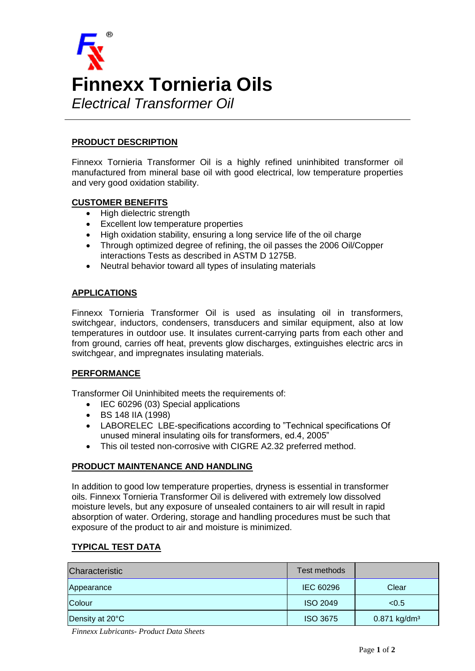

# **PRODUCT DESCRIPTION**

Finnexx Tornieria Transformer Oil is a highly refined uninhibited transformer oil manufactured from mineral base oil with good electrical, low temperature properties and very good oxidation stability.

## **CUSTOMER BENEFITS**

- High dielectric strength
- Excellent low temperature properties
- High oxidation stability, ensuring a long service life of the oil charge
- Through optimized degree of refining, the oil passes the 2006 Oil/Copper interactions Tests as described in ASTM D 1275B.
- Neutral behavior toward all types of insulating materials

## **APPLICATIONS**

Finnexx Tornieria Transformer Oil is used as insulating oil in transformers, switchgear, inductors, condensers, transducers and similar equipment, also at low temperatures in outdoor use. It insulates current-carrying parts from each other and from ground, carries off heat, prevents glow discharges, extinguishes electric arcs in switchgear, and impregnates insulating materials.

#### **PERFORMANCE**

Transformer Oil Uninhibited meets the requirements of:

- IEC 60296 (03) Special applications
- BS 148 IIA (1998)
- LABORELEC LBE-specifications according to "Technical specifications Of unused mineral insulating oils for transformers, ed.4, 2005"
- This oil tested non-corrosive with CIGRE A2.32 preferred method.

# **PRODUCT MAINTENANCE AND HANDLING**

In addition to good low temperature properties, dryness is essential in transformer oils. Finnexx Tornieria Transformer Oil is delivered with extremely low dissolved moisture levels, but any exposure of unsealed containers to air will result in rapid absorption of water. Ordering, storage and handling procedures must be such that exposure of the product to air and moisture is minimized.

# **TYPICAL TEST DATA**

| Characteristic  | Test methods     |                            |
|-----------------|------------------|----------------------------|
| Appearance      | <b>IEC 60296</b> | Clear                      |
| Colour          | <b>ISO 2049</b>  | < 0.5                      |
| Density at 20°C | <b>ISO 3675</b>  | $0.871$ kg/dm <sup>3</sup> |

*Finnexx Lubricants- Product Data Sheets*